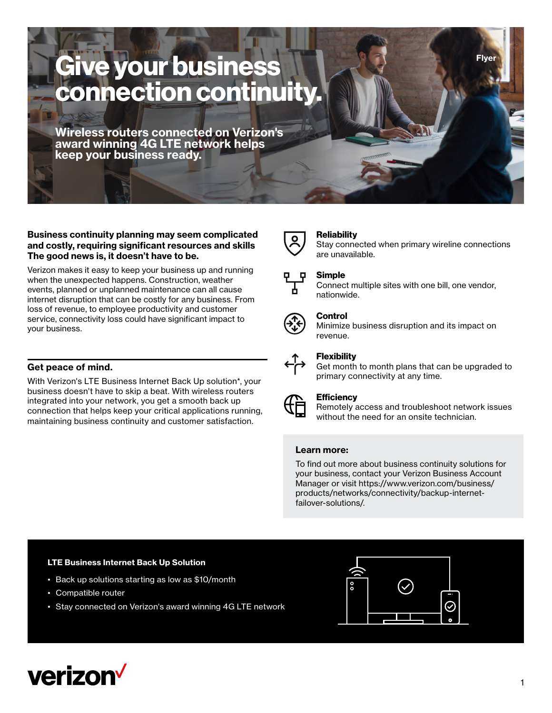# **Give your business connection continuity.**

**Wireless routers connected on Verizon's award winning 4G LTE network helps keep your business ready.** 

#### **Business continuity planning may seem complicated and costly, requiring significant resources and skills The good news is, it doesn't have to be.**

Verizon makes it easy to keep your business up and running when the unexpected happens. Construction, weather events, planned or unplanned maintenance can all cause internet disruption that can be costly for any business. From loss of revenue, to employee productivity and customer service, connectivity loss could have significant impact to your business.

### **Get peace of mind.**

With Verizon's LTE Business Internet Back Up solution\*, your business doesn't have to skip a beat. With wireless routers integrated into your network, you get a smooth back up connection that helps keep your critical applications running, maintaining business continuity and customer satisfaction.

#### **Reliability**

Stay connected when primary wireline connections are unavailable.

**Flyer**

## **Simple**

Connect multiple sites with one bill, one vendor, nationwide.



#### **Control**

Minimize business disruption and its impact on revenue.



#### **Flexibility**

Get month to month plans that can be upgraded to primary connectivity at any time.



#### **Efficiency**

Remotely access and troubleshoot network issues without the need for an onsite technician.

#### **Learn more:**

To find out more about business continuity solutions for your business, contact your Verizon Business Account Manager or visit [https://www.verizon.com/business/](https://www.verizon.com/business/products/networks/connectivity/backup-internet-failover-solutions/ ) [products/networks/connectivity/backup-internet](https://www.verizon.com/business/products/networks/connectivity/backup-internet-failover-solutions/ )[failover-solutions/.](https://www.verizon.com/business/products/networks/connectivity/backup-internet-failover-solutions/ )

#### **LTE Business Internet Back Up Solution**

- Back up solutions starting as low as \$10/month
- Compatible router
- Stay connected on Verizon's award winning 4G LTE network